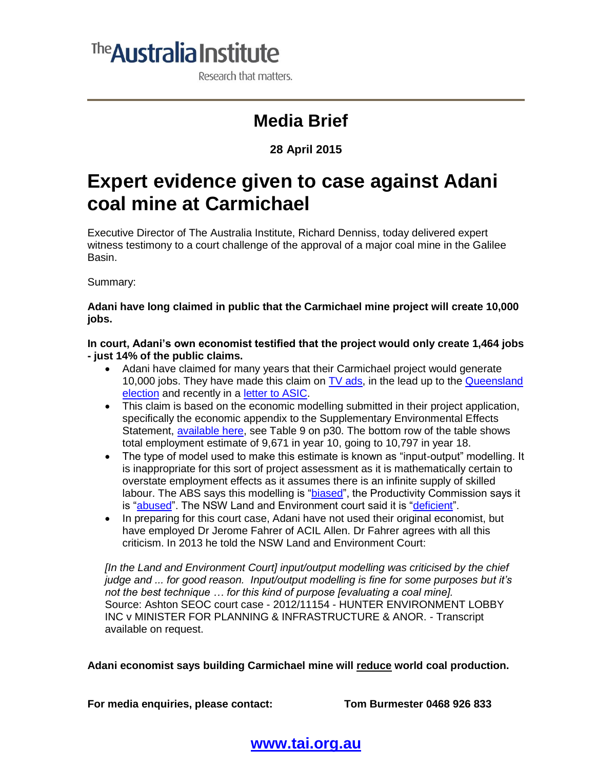# <sup>The</sup> Australia Institute

Research that matters.

## **Media Brief**

#### **28 April 2015**

## **Expert evidence given to case against Adani coal mine at Carmichael**

Executive Director of The Australia Institute, Richard Denniss, today delivered expert witness testimony to a court challenge of the approval of a major coal mine in the Galilee Basin.

Summary:

**Adani have long claimed in public that the Carmichael mine project will create 10,000 jobs.**

**In court, Adani's own economist testified that the project would only create 1,464 jobs - just 14% of the public claims.**

- Adani have claimed for many years that their Carmichael project would generate 10,000 jobs. They have made this claim on [TV ads,](https://www.youtube.com/watch?v=hLlPwFUdR0w) in the lead up to the [Queensland](http://www.brisbanetimes.com.au/queensland/queensland-state-election-2015/queensland-election-2015-newman-promises-galilee-basin-20150125-12xtus.html)  [election](http://www.brisbanetimes.com.au/queensland/queensland-state-election-2015/queensland-election-2015-newman-promises-galilee-basin-20150125-12xtus.html) and recently in a [letter to ASIC.](http://www.afr.com/business/mining/coal/adani-takes-itself-to-asic-audit-20150326-1m8isr)
- This claim is based on the economic modelling submitted in their project application, specifically the economic appendix to the Supplementary Environmental Effects Statement, [available here,](http://www.adanimining.com/Common/Uploads/SEISDocuments/44_SEISDoc_Appendix%20E%20-%20Economic%20Assessment%20Report.pdf) see Table 9 on p30. The bottom row of the table shows total employment estimate of 9,671 in year 10, going to 10,797 in year 18.
- The type of model used to make this estimate is known as "input-output" modelling. It is inappropriate for this sort of project assessment as it is mathematically certain to overstate employment effects as it assumes there is an infinite supply of skilled labour. The ABS says this modelling is ["biased"](http://www.abs.gov.au/AUSSTATS/abs@.nsf/Previousproducts/5209.0.55.001Main%20Features4Final%20release%202006-07%20tables?opendocument&tabname=Summary&prodno=5209.0.55.001&issue=Final%20release%202006-07%20tables&num=&view=), the Productivity Commission says it is ["abused"](http://www.pc.gov.au/__data/assets/pdf_file/0008/128294/input-output-tables.pdf). The NSW Land and Environment court said it is ["deficient"](http://www.edo.org.au/edonsw/site/pdf/casesum/Warkworth_judgment.pdf).
- In preparing for this court case, Adani have not used their original economist, but have employed Dr Jerome Fahrer of ACIL Allen. Dr Fahrer agrees with all this criticism. In 2013 he told the NSW Land and Environment Court:

*[In the Land and Environment Court] input/output modelling was criticised by the chief judge and ... for good reason. Input/output modelling is fine for some purposes but it's not the best technique … for this kind of purpose [evaluating a coal mine].*  Source: Ashton SEOC court case - 2012/11154 - HUNTER ENVIRONMENT LOBBY INC v MINISTER FOR PLANNING & INFRASTRUCTURE & ANOR. - Transcript available on request.

**Adani economist says building Carmichael mine will reduce world coal production.**

**For media enquiries, please contact: Tom Burmester 0468 926 833**

### **[www.tai.org.au](http://www.tai.org.au/)**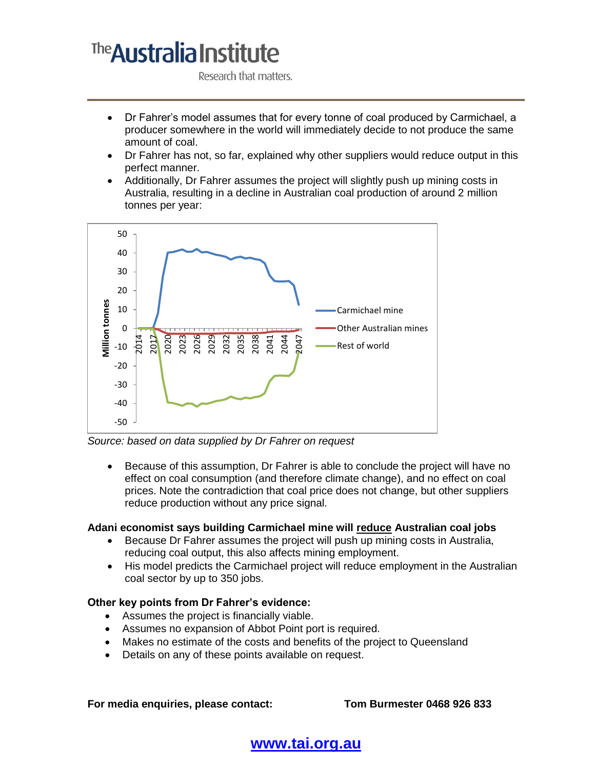# The **Australia Institute**

Research that matters.

- Dr Fahrer's model assumes that for every tonne of coal produced by Carmichael, a producer somewhere in the world will immediately decide to not produce the same amount of coal.
- Dr Fahrer has not, so far, explained why other suppliers would reduce output in this perfect manner.
- Additionally, Dr Fahrer assumes the project will slightly push up mining costs in Australia, resulting in a decline in Australian coal production of around 2 million tonnes per year:



*Source: based on data supplied by Dr Fahrer on request*

 Because of this assumption, Dr Fahrer is able to conclude the project will have no effect on coal consumption (and therefore climate change), and no effect on coal prices. Note the contradiction that coal price does not change, but other suppliers reduce production without any price signal.

#### **Adani economist says building Carmichael mine will reduce Australian coal jobs**

- Because Dr Fahrer assumes the project will push up mining costs in Australia, reducing coal output, this also affects mining employment.
- His model predicts the Carmichael project will reduce employment in the Australian coal sector by up to 350 jobs.

#### **Other key points from Dr Fahrer's evidence:**

- Assumes the project is financially viable.
- Assumes no expansion of Abbot Point port is required.
- Makes no estimate of the costs and benefits of the project to Queensland
- Details on any of these points available on request.

**For media enquiries, please contact: Tom Burmester 0468 926 833**

### **[www.tai.org.au](http://www.tai.org.au/)**